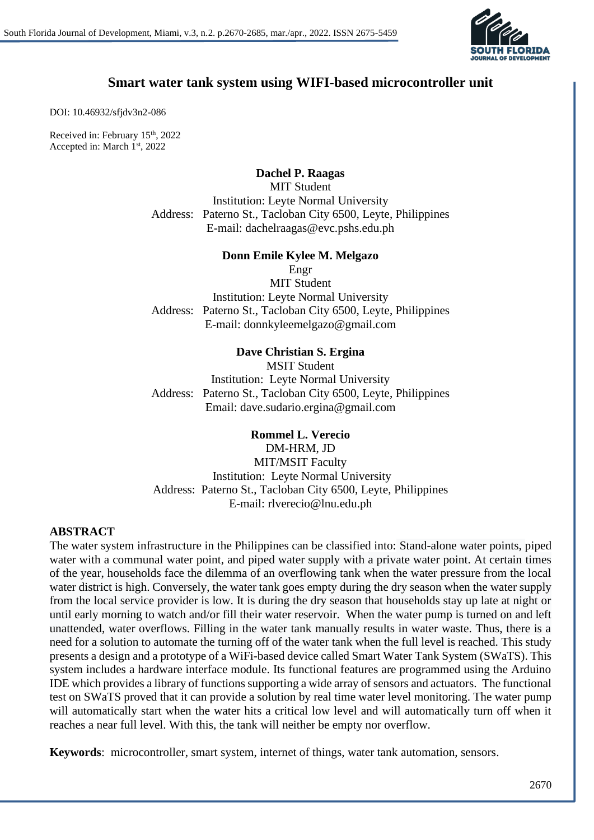

# **Smart water tank system using WIFI-based microcontroller unit**

DOI: 10.46932/sfjdv3n2-086

Received in: February 15<sup>th</sup>, 2022 Accepted in: March 1st, 2022

**Dachel P. Raagas**

MIT Student Institution: Leyte Normal University Address: Paterno St., Tacloban City 6500, Leyte, Philippines E-mail: dachelraagas@evc.pshs.edu.ph

**Donn Emile Kylee M. Melgazo**

Engr

MIT Student Institution: Leyte Normal University Address: Paterno St., Tacloban City 6500, Leyte, Philippines E-mail: donnkyleemelgazo@gmail.com

### **Dave Christian S. Ergina**

MSIT Student Institution: Leyte Normal University Address: Paterno St., Tacloban City 6500, Leyte, Philippines Email: dave.sudario.ergina@gmail.com

**Rommel L. Verecio**  DM-HRM, JD MIT/MSIT Faculty Institution: Leyte Normal University Address: Paterno St., Tacloban City 6500, Leyte, Philippines E-mail: rlverecio@lnu.edu.ph

# **ABSTRACT**

The water system infrastructure in the Philippines can be classified into: Stand-alone water points, piped water with a communal water point, and piped water supply with a private water point. At certain times of the year, households face the dilemma of an overflowing tank when the water pressure from the local water district is high. Conversely, the water tank goes empty during the dry season when the water supply from the local service provider is low. It is during the dry season that households stay up late at night or until early morning to watch and/or fill their water reservoir. When the water pump is turned on and left unattended, water overflows. Filling in the water tank manually results in water waste. Thus, there is a need for a solution to automate the turning off of the water tank when the full level is reached. This study presents a design and a prototype of a WiFi-based device called Smart Water Tank System (SWaTS). This system includes a hardware interface module. Its functional features are programmed using the Arduino IDE which provides a library of functions supporting a wide array of sensors and actuators. The functional test on SWaTS proved that it can provide a solution by real time water level monitoring. The water pump will automatically start when the water hits a critical low level and will automatically turn off when it reaches a near full level. With this, the tank will neither be empty nor overflow.

**Keywords**: microcontroller, smart system, internet of things, water tank automation, sensors.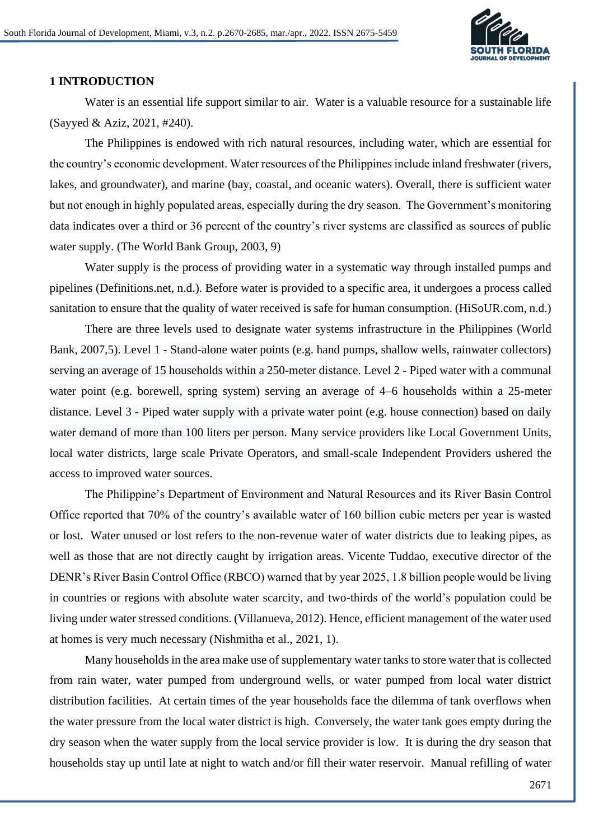

#### **1 INTRODUCTION**

Water is an essential life support similar to air. Water is a valuable resource for a sustainable life (Sayyed & Aziz, 2021, #240).

The Philippines is endowed with rich natural resources, including water, which are essential for the country's economic development. Water resources of the Philippines include inland freshwater (rivers, lakes, and groundwater), and marine (bay, coastal, and oceanic waters). Overall, there is sufficient water but not enough in highly populated areas, especially during the dry season. The Government's monitoring data indicates over a third or 36 percent of the country's river systems are classified as sources of public water supply. (The World Bank Group, 2003, 9)

Water supply is the process of providing water in a systematic way through installed pumps and pipelines (Definitions.net, n.d.). Before water is provided to a specific area, it undergoes a process called sanitation to ensure that the quality of water received is safe for human consumption. (HiSoUR.com, n.d.)

There are three levels used to designate water systems infrastructure in the Philippines (World Bank, 2007,5). Level 1 - Stand-alone water points (e.g. hand pumps, shallow wells, rainwater collectors) serving an average of 15 households within a 250-meter distance. Level 2 - Piped water with a communal water point (e.g. borewell, spring system) serving an average of 4–6 households within a 25-meter distance. Level 3 - Piped water supply with a private water point (e.g. house connection) based on daily water demand of more than 100 liters per person. Many service providers like Local Government Units, local water districts, large scale Private Operators, and small-scale Independent Providers ushered the access to improved water sources.

The Philippine's Department of Environment and Natural Resources and its River Basin Control Office reported that 70% of the country's available water of 160 billion cubic meters per year is wasted or lost. Water unused or lost refers to the non-revenue water of water districts due to leaking pipes, as well as those that are not directly caught by irrigation areas. Vicente Tuddao, executive director of the DENR's River Basin Control Office (RBCO) warned that by year 2025, 1.8 billion people would be living in countries or regions with absolute water scarcity, and two-thirds of the world's population could be living under water stressed conditions. (Villanueva, 2012). Hence, efficient management of the water used at homes is very much necessary (Nishmitha et al., 2021, 1).

Many households in the area make use of supplementary water tanks to store water that is collected from rain water, water pumped from underground wells, or water pumped from local water district distribution facilities. At certain times of the year households face the dilemma of tank overflows when the water pressure from the local water district is high. Conversely, the water tank goes empty during the dry season when the water supply from the local service provider is low. It is during the dry season that households stay up until late at night to watch and/or fill their water reservoir. Manual refilling of water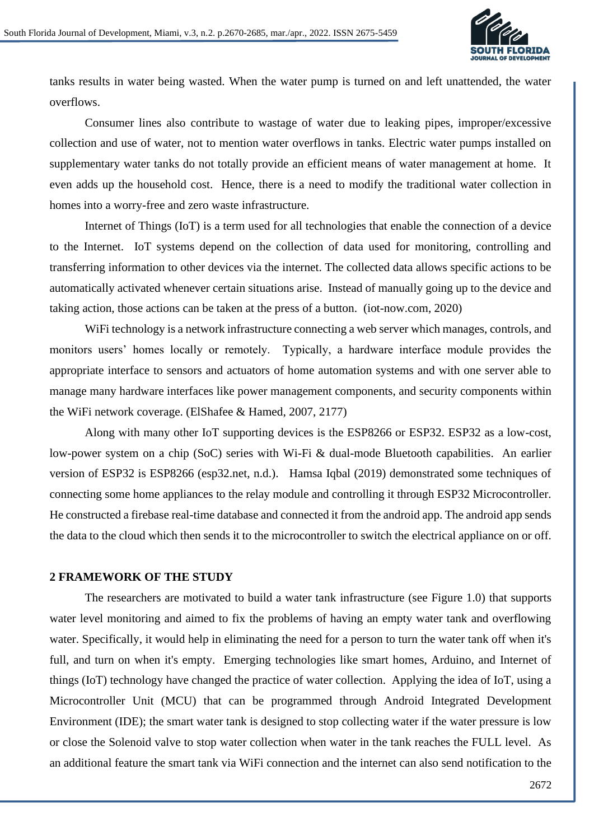

tanks results in water being wasted. When the water pump is turned on and left unattended, the water overflows.

Consumer lines also contribute to wastage of water due to leaking pipes, improper/excessive collection and use of water, not to mention water overflows in tanks. Electric water pumps installed on supplementary water tanks do not totally provide an efficient means of water management at home. It even adds up the household cost. Hence, there is a need to modify the traditional water collection in homes into a worry-free and zero waste infrastructure.

[Internet of Things](https://www.iot-now.com/2019/07/07/97056-what-is-iot/) (IoT) is a term used for all technologies that enable the connection of a device to the Internet. IoT systems depend on the collection of data used for monitoring, controlling and transferring information to other devices via the internet. The collected data allows specific actions to be automatically activated whenever certain situations arise. Instead of manually going up to the device and taking action, those actions can be taken at the press of a button. (iot-now.com, 2020)

WiFi technology is a network infrastructure connecting a web server which manages, controls, and monitors users' homes locally or remotely. Typically, a hardware interface module provides the appropriate interface to sensors and actuators of home automation systems and with one server able to manage many hardware interfaces like power management components, and security components within the WiFi network coverage. (ElShafee & Hamed, 2007, 2177)

Along with many other IoT supporting devices is the ESP8266 or ESP32. ESP32 as a low-cost, low-power system on a chip (SoC) series with Wi-Fi & dual-mode Bluetooth capabilities. An earlier version of ESP32 is ESP8266 (esp32.net, n.d.). Hamsa Iqbal (2019) demonstrated some techniques of connecting some home appliances to the relay module and controlling it through ESP32 Microcontroller. He constructed a firebase real-time database and connected it from the android app. The android app sends the data to the cloud which then sends it to the microcontroller to switch the electrical appliance on or off.

#### **2 FRAMEWORK OF THE STUDY**

The researchers are motivated to build a water tank infrastructure (see Figure 1.0) that supports water level monitoring and aimed to fix the problems of having an empty water tank and overflowing water. Specifically, it would help in eliminating the need for a person to turn the water tank off when it's full, and turn on when it's empty. Emerging technologies like smart homes, Arduino, and Internet of things (IoT) technology have changed the practice of water collection. Applying the idea of IoT, using a Microcontroller Unit (MCU) that can be programmed through Android Integrated Development Environment (IDE); the smart water tank is designed to stop collecting water if the water pressure is low or close the Solenoid valve to stop water collection when water in the tank reaches the FULL level. As an additional feature the smart tank via WiFi connection and the internet can also send notification to the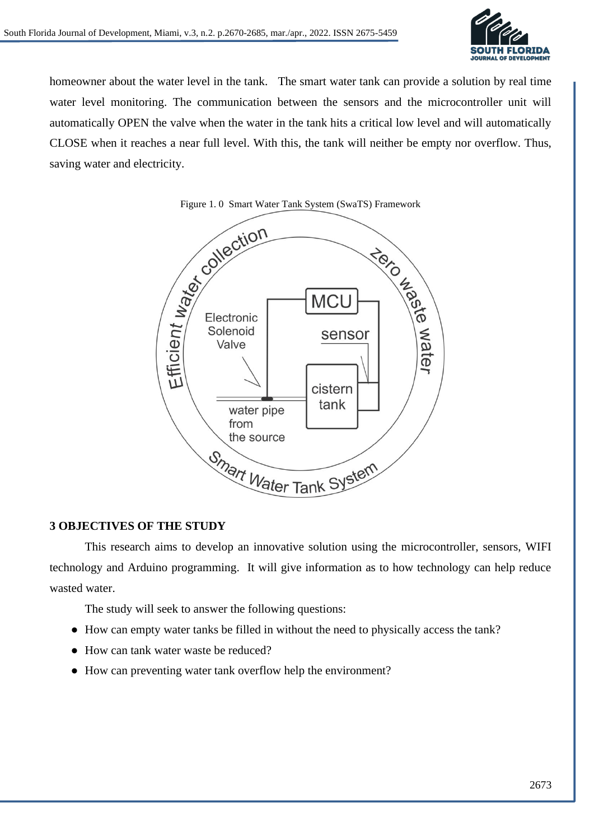

homeowner about the water level in the tank. The smart water tank can provide a solution by real time water level monitoring. The communication between the sensors and the microcontroller unit will automatically OPEN the valve when the water in the tank hits a critical low level and will automatically CLOSE when it reaches a near full level. With this, the tank will neither be empty nor overflow. Thus, saving water and electricity.



# **3 OBJECTIVES OF THE STUDY**

This research aims to develop an innovative solution using the microcontroller, sensors, WIFI technology and Arduino programming. It will give information as to how technology can help reduce wasted water.

The study will seek to answer the following questions:

- How can empty water tanks be filled in without the need to physically access the tank?
- How can tank water waste be reduced?
- How can preventing water tank overflow help the environment?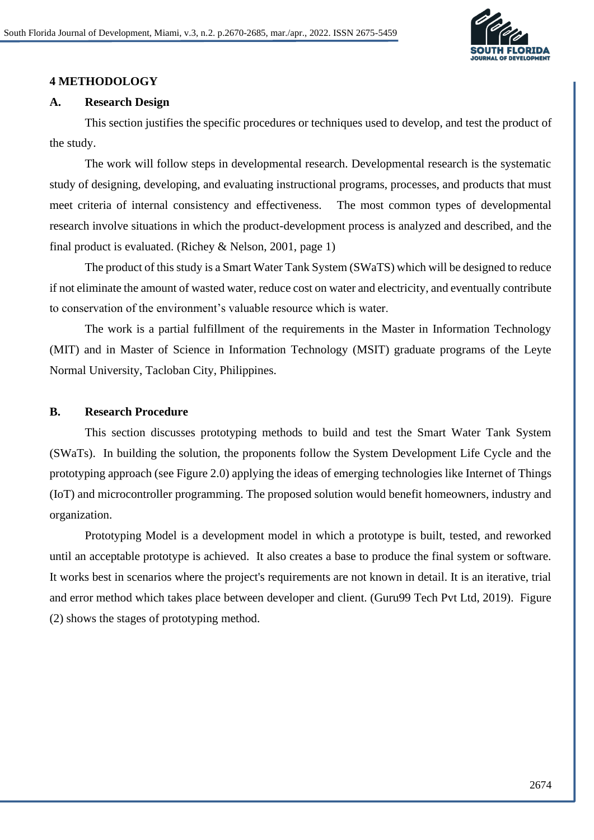

### **4 METHODOLOGY**

### **A. Research Design**

This section justifies the specific procedures or techniques used to develop, and test the product of the study.

The work will follow steps in developmental research. Developmental research is the systematic study of designing, developing, and evaluating instructional programs, processes, and products that must meet criteria of internal consistency and effectiveness. The most common types of developmental research involve situations in which the product-development process is analyzed and described, and the final product is evaluated. (Richey & Nelson, 2001, page 1)

The product of this study is a Smart Water Tank System (SWaTS) which will be designed to reduce if not eliminate the amount of wasted water, reduce cost on water and electricity, and eventually contribute to conservation of the environment's valuable resource which is water.

The work is a partial fulfillment of the requirements in the Master in Information Technology (MIT) and in Master of Science in Information Technology (MSIT) graduate programs of the Leyte Normal University, Tacloban City, Philippines.

### **B. Research Procedure**

This section discusses prototyping methods to build and test the Smart Water Tank System (SWaTs). In building the solution, the proponents follow the System Development Life Cycle and the prototyping approach (see Figure 2.0) applying the ideas of emerging technologies like Internet of Things (IoT) and microcontroller programming. The proposed solution would benefit homeowners, industry and organization.

Prototyping Model is a development model in which a prototype is built, tested, and reworked until an acceptable prototype is achieved. It also creates a base to produce the final system or software. It works best in scenarios where the project's requirements are not known in detail. It is an iterative, trial and error method which takes place between developer and client. (Guru99 Tech Pvt Ltd, 2019). Figure (2) shows the stages of prototyping method.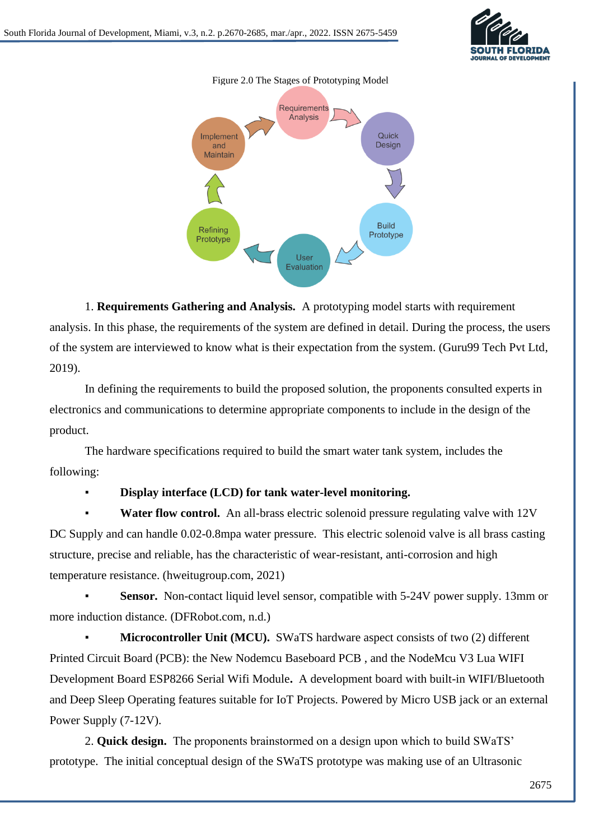





1. **Requirements Gathering and Analysis.** A prototyping model starts with requirement analysis. In this phase, the requirements of the system are defined in detail. During the process, the users of the system are interviewed to know what is their expectation from the system. (Guru99 Tech Pvt Ltd, 2019).

In defining the requirements to build the proposed solution, the proponents consulted experts in electronics and communications to determine appropriate components to include in the design of the product.

The hardware specifications required to build the smart water tank system, includes the following:

### **Display interface (LCD) for tank water-level monitoring.**

Water flow control. An all-brass electric solenoid pressure regulating valve with 12V DC Supply and can handle 0.02-0.8mpa water pressure. This electric solenoid valve is all brass casting structure, precise and reliable, has the characteristic of wear-resistant, anti-corrosion and high temperature resistance. (hweitugroup.com, 2021)

**Sensor.** Non-contact liquid level sensor, compatible with 5-24V power supply. 13mm or more induction distance. (DFRobot.com, n.d.)

**Microcontroller Unit (MCU).** SWaTS hardware aspect consists of two (2) different Printed Circuit Board (PCB): the New Nodemcu Baseboard PCB , and the NodeMcu V3 Lua WIFI Development Board ESP8266 Serial Wifi Module**.** A development board with built-in WIFI/Bluetooth and Deep Sleep Operating features suitable for IoT Projects. Powered by Micro USB jack or an external Power Supply (7-12V).

2. **Quick design.** The proponents brainstormed on a design upon which to build SWaTS' prototype. The initial conceptual design of the SWaTS prototype was making use of an Ultrasonic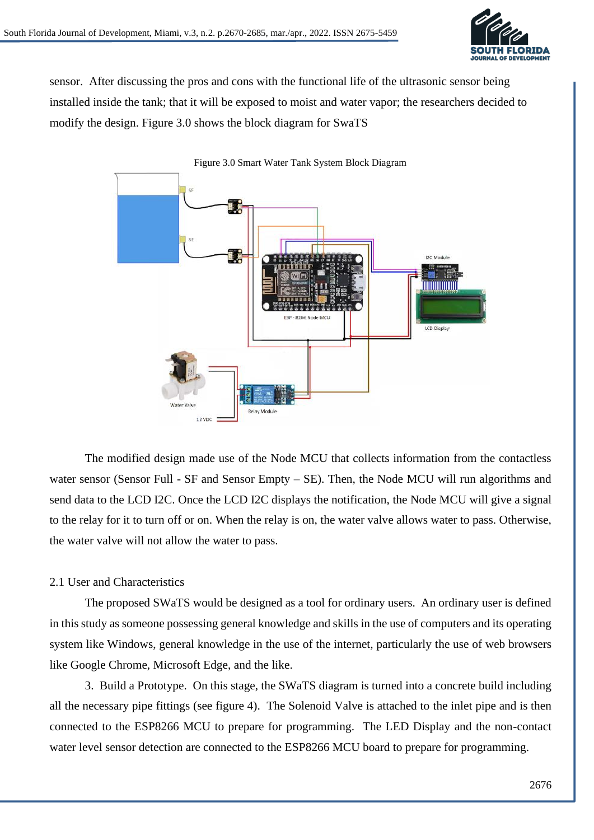

sensor. After discussing the pros and cons with the functional life of the ultrasonic sensor being installed inside the tank; that it will be exposed to moist and water vapor; the researchers decided to modify the design. Figure 3.0 shows the block diagram for SwaTS



The modified design made use of the Node MCU that collects information from the contactless water sensor (Sensor Full - SF and Sensor Empty – SE). Then, the Node MCU will run algorithms and send data to the LCD I2C. Once the LCD I2C displays the notification, the Node MCU will give a signal to the relay for it to turn off or on. When the relay is on, the water valve allows water to pass. Otherwise, the water valve will not allow the water to pass.

# 2.1 User and Characteristics

The proposed SWaTS would be designed as a tool for ordinary users. An ordinary user is defined in this study as someone possessing general knowledge and skills in the use of computers and its operating system like Windows, general knowledge in the use of the internet, particularly the use of web browsers like Google Chrome, Microsoft Edge, and the like.

3. Build a Prototype. On this stage, the SWaTS diagram is turned into a concrete build including all the necessary pipe fittings (see figure 4). The Solenoid Valve is attached to the inlet pipe and is then connected to the ESP8266 MCU to prepare for programming. The LED Display and the non-contact water level sensor detection are connected to the ESP8266 MCU board to prepare for programming.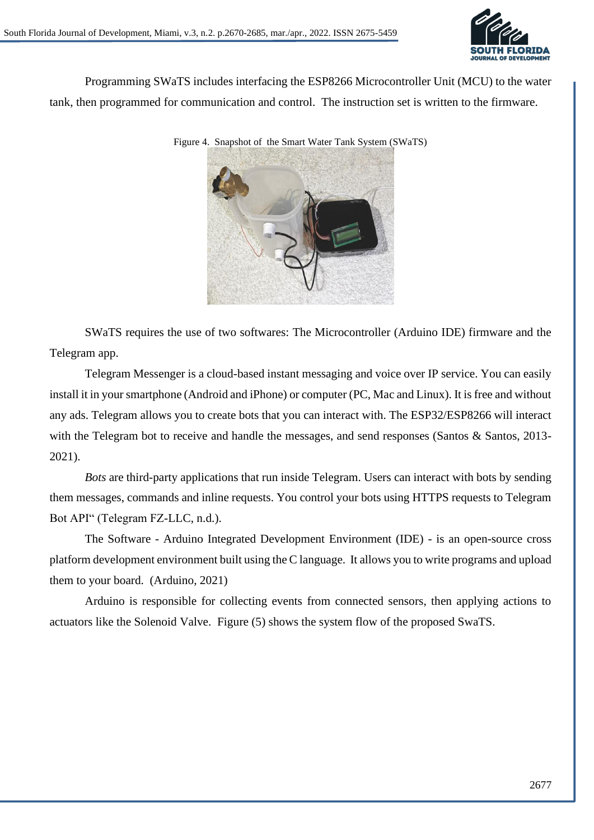

Programming SWaTS includes interfacing the ESP8266 Microcontroller Unit (MCU) to the water tank, then programmed for communication and control. The instruction set is written to the firmware.

Figure 4. Snapshot of the Smart Water Tank System (SWaTS)

SWaTS requires the use of two softwares: The Microcontroller (Arduino IDE) firmware and the Telegram app.

[Telegram](https://telegram.org/) Messenger is a cloud-based instant messaging and voice over IP service. You can easily install it in your smartphone (Android and iPhone) or computer (PC, Mac and Linux). It is free and without any ads. Telegram allows you to create bots that you can interact with. The ESP32/ESP8266 will interact with the Telegram bot to receive and handle the messages, and send responses (Santos & Santos, 2013-2021).

*Bots* are third-party applications that run inside Telegram. Users can interact with bots by sending them messages, commands and inline requests. You control your bots using HTTPS requests to Telegram Bot API" (Telegram FZ-LLC, n.d.).

The Software - Arduino Integrated Development Environment (IDE) - is an open-source cross platform development environment built using the C language. It allows you to write programs and upload them to your board. (Arduino, 2021)

Arduino is responsible for collecting events from connected sensors, then applying actions to actuators like the Solenoid Valve. Figure (5) shows the system flow of the proposed SwaTS.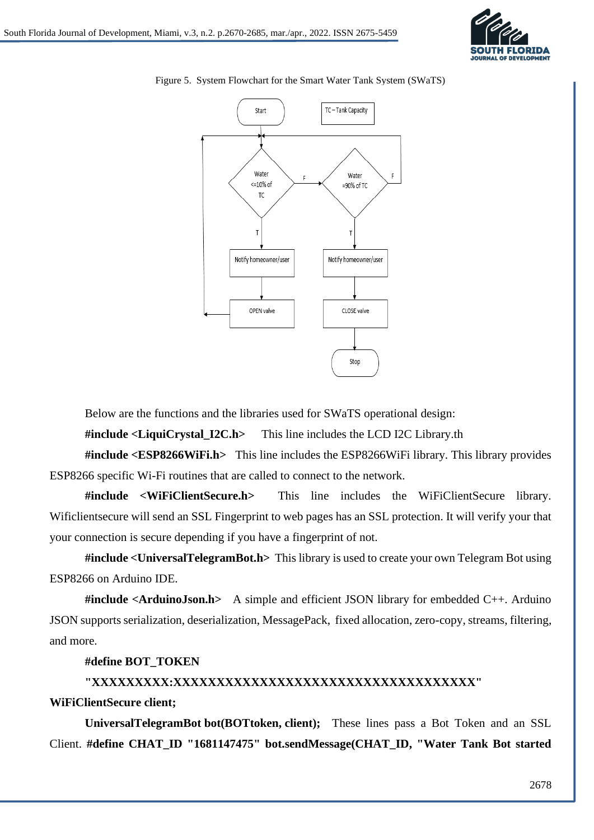



Figure 5. System Flowchart for the Smart Water Tank System (SWaTS)

Below are the functions and the libraries used for SWaTS operational design:

**#include <LiquiCrystal\_I2C.h>** This line includes the LCD I2C Library.th

**#include <ESP8266WiFi.h>** This line includes the ESP8266WiFi library. This library provides ESP8266 specific Wi-Fi routines that are called to connect to the network.

**#include <WiFiClientSecure.h>** This line includes the WiFiClientSecure library. Wificlientsecure will send an SSL Fingerprint to web pages has an SSL protection. It will verify your that your connection is secure depending if you have a fingerprint of not.

**#include <UniversalTelegramBot.h>** This library is used to create your own Telegram Bot using ESP8266 on Arduino IDE.

**#include <ArduinoJson.h>** A simple and efficient JSON library for embedded C++. Arduino JSON supports serialization, deserialization, MessagePack, fixed allocation, zero-copy, streams, filtering, and more.

### **#define BOT\_TOKEN**

# **"XXXXXXXXX:XXXXXXXXXXXXXXXXXXXXXXXXXXXXXXXXXXX"**

**WiFiClientSecure client;**

**UniversalTelegramBot bot(BOTtoken, client);** These lines pass a Bot Token and an SSL Client. **#define CHAT\_ID "1681147475" bot.sendMessage(CHAT\_ID, "Water Tank Bot started**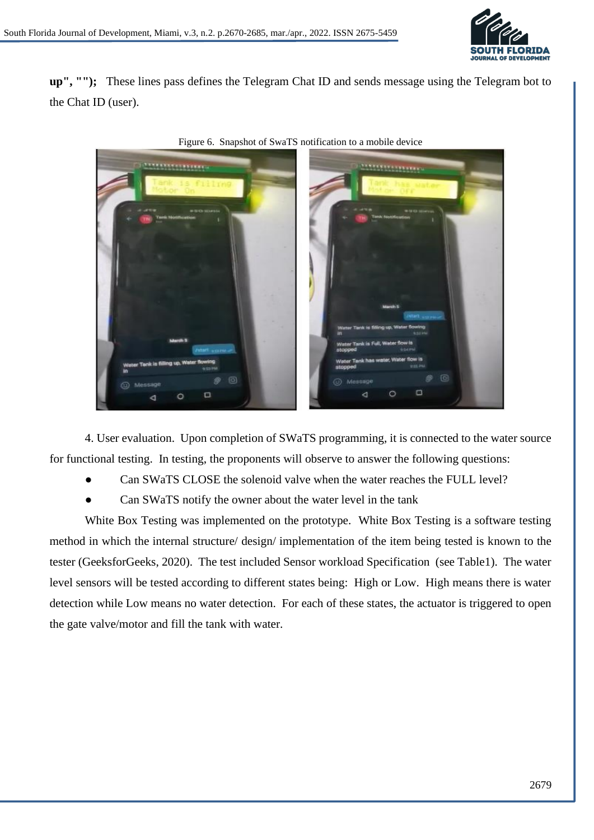

**up", "");** These lines pass defines the Telegram Chat ID and sends message using the Telegram bot to the Chat ID (user).



Figure 6. Snapshot of SwaTS notification to a mobile device

4. User evaluation. Upon completion of SWaTS programming, it is connected to the water source for functional testing. In testing, the proponents will observe to answer the following questions:

- Can SWaTS CLOSE the solenoid valve when the water reaches the FULL level?
- Can SWaTS notify the owner about the water level in the tank

White Box Testing was implemented on the prototype. White Box Testing is a software testing method in which the internal structure/ design/ implementation of the item being tested is known to the tester (GeeksforGeeks, 2020). The test included Sensor workload Specification (see Table1). The water level sensors will be tested according to different states being: High or Low. High means there is water detection while Low means no water detection. For each of these states, the actuator is triggered to open the gate valve/motor and fill the tank with water.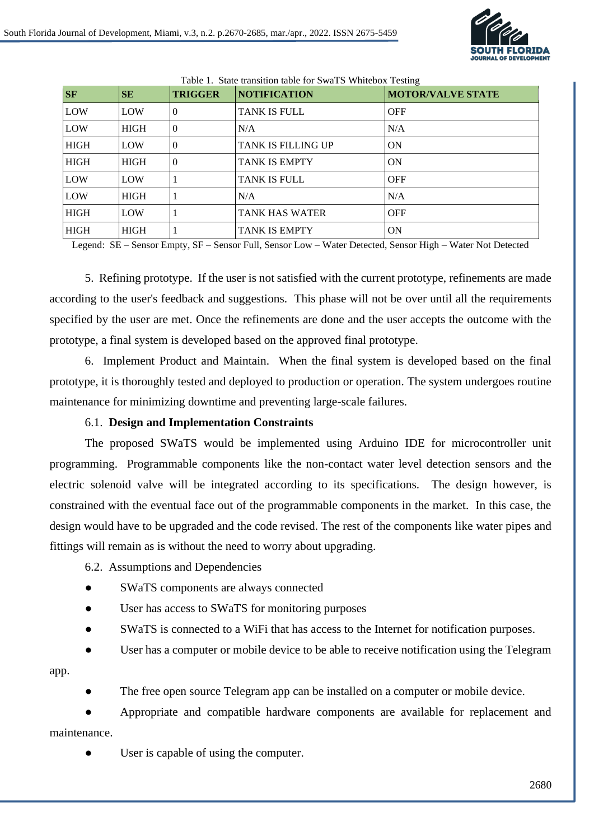

| <b>SF</b>   | SE          | <b>TRIGGER</b> | <b>NOTIFICATION</b>       | <b>MOTOR/VALVE STATE</b> |
|-------------|-------------|----------------|---------------------------|--------------------------|
| LOW         | LOW         | $\theta$       | <b>TANK IS FULL</b>       | <b>OFF</b>               |
| LOW         | <b>HIGH</b> | $\Omega$       | N/A                       | N/A                      |
| <b>HIGH</b> | LOW         | $\Omega$       | <b>TANK IS FILLING UP</b> | <b>ON</b>                |
| <b>HIGH</b> | <b>HIGH</b> | $\theta$       | <b>TANK IS EMPTY</b>      | <b>ON</b>                |
| LOW         | LOW         |                | TANK IS FULL              | <b>OFF</b>               |
| LOW         | <b>HIGH</b> |                | N/A                       | N/A                      |
| <b>HIGH</b> | LOW         |                | <b>TANK HAS WATER</b>     | <b>OFF</b>               |
| <b>HIGH</b> | <b>HIGH</b> |                | <b>TANK IS EMPTY</b>      | <b>ON</b>                |

Table 1. State transition table for SwaTS Whitebox Testing

Legend: SE – Sensor Empty, SF – Sensor Full, Sensor Low – Water Detected, Sensor High – Water Not Detected

5. Refining prototype. If the user is not satisfied with the current prototype, refinements are made according to the user's feedback and suggestions. This phase will not be over until all the requirements specified by the user are met. Once the refinements are done and the user accepts the outcome with the prototype, a final system is developed based on the approved final prototype.

6. Implement Product and Maintain. When the final system is developed based on the final prototype, it is thoroughly tested and deployed to production or operation. The system undergoes routine maintenance for minimizing downtime and preventing large-scale failures.

### 6.1. **Design and Implementation Constraints**

The proposed SWaTS would be implemented using Arduino IDE for microcontroller unit programming. Programmable components like the non-contact water level detection sensors and the electric solenoid valve will be integrated according to its specifications. The design however, is constrained with the eventual face out of the programmable components in the market. In this case, the design would have to be upgraded and the code revised. The rest of the components like water pipes and fittings will remain as is without the need to worry about upgrading.

6.2. Assumptions and Dependencies

- SWaTS components are always connected
- User has access to SWaTS for monitoring purposes
- SWaTS is connected to a WiFi that has access to the Internet for notification purposes.

User has a computer or mobile device to be able to receive notification using the Telegram

#### app.

The free open source Telegram app can be installed on a computer or mobile device.

Appropriate and compatible hardware components are available for replacement and maintenance.

User is capable of using the computer.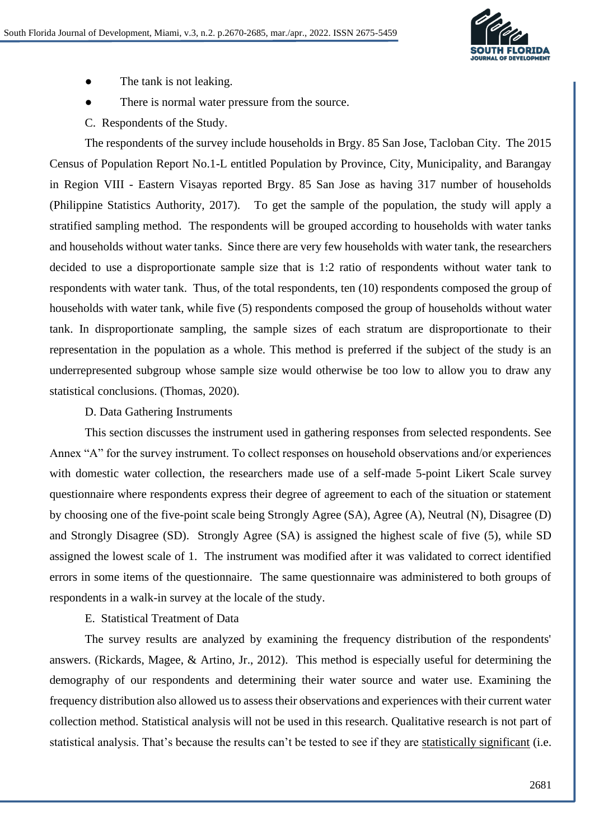

- The tank is not leaking.
- There is normal water pressure from the source.
- C. Respondents of the Study.

The respondents of the survey include households in Brgy. 85 San Jose, Tacloban City. The 2015 Census of Population Report No.1-L entitled Population by Province, City, Municipality, and Barangay in Region VIII - Eastern Visayas reported Brgy. 85 San Jose as having 317 number of households (Philippine Statistics Authority, 2017). To get the sample of the population, the study will apply a stratified sampling method. The respondents will be grouped according to households with water tanks and households without water tanks. Since there are very few households with water tank, the researchers decided to use a disproportionate sample size that is 1:2 ratio of respondents without water tank to respondents with water tank. Thus, of the total respondents, ten (10) respondents composed the group of households with water tank, while five (5) respondents composed the group of households without water tank. In disproportionate sampling, the sample sizes of each stratum are disproportionate to their representation in the population as a whole. This method is preferred if the subject of the study is an underrepresented subgroup whose sample size would otherwise be too low to allow you to draw any statistical conclusions. (Thomas, 2020).

### D. Data Gathering Instruments

This section discusses the instrument used in gathering responses from selected respondents. See Annex "A" for the survey instrument. To collect responses on household observations and/or experiences with domestic water collection, the researchers made use of a self-made 5-point Likert Scale survey questionnaire where respondents express their degree of agreement to each of the situation or statement by choosing one of the five-point scale being Strongly Agree (SA), Agree (A), Neutral (N), Disagree (D) and Strongly Disagree (SD). Strongly Agree (SA) is assigned the highest scale of five (5), while SD assigned the lowest scale of 1. The instrument was modified after it was validated to correct identified errors in some items of the questionnaire. The same questionnaire was administered to both groups of respondents in a walk-in survey at the locale of the study.

### E. Statistical Treatment of Data

The survey results are analyzed by examining the frequency distribution of the respondents' answers. (Rickards, Magee, & Artino, Jr., 2012). This method is especially useful for determining the demography of our respondents and determining their water source and water use. Examining the frequency distribution also allowed us to assess their observations and experiences with their current water collection method. Statistical analysis will not be used in this research. Qualitative research is not part of statistical analysis. That's because the results can't be tested to see if they are [statistically significant](https://www.statisticshowto.com/what-is-statistical-significance/) (i.e.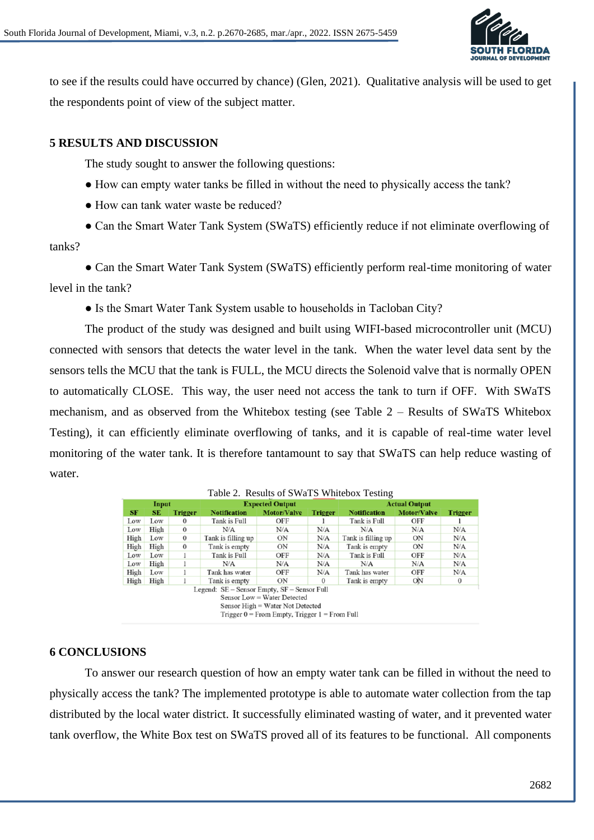

to see if the results could have occurred by chance) (Glen, 2021). Qualitative analysis will be used to get the respondents point of view of the subject matter.

# **5 RESULTS AND DISCUSSION**

The study sought to answer the following questions:

- How can empty water tanks be filled in without the need to physically access the tank?
- How can tank water waste be reduced?

● Can the Smart Water Tank System (SWaTS) efficiently reduce if not eliminate overflowing of tanks?

• Can the Smart Water Tank System (SWaTS) efficiently perform real-time monitoring of water level in the tank?

• Is the Smart Water Tank System usable to households in Tacloban City?

The product of the study was designed and built using WIFI-based microcontroller unit (MCU) connected with sensors that detects the water level in the tank. When the water level data sent by the sensors tells the MCU that the tank is FULL, the MCU directs the Solenoid valve that is normally OPEN to automatically CLOSE. This way, the user need not access the tank to turn if OFF. With SWaTS mechanism, and as observed from the Whitebox testing (see Table 2 – Results of SWaTS Whitebox Testing), it can efficiently eliminate overflowing of tanks, and it is capable of real-time water level monitoring of the water tank. It is therefore tantamount to say that SWaTS can help reduce wasting of water.

| Input |      | <b>Expected Output</b> |                                             |                                                                                                                      | <b>Actual Output</b> |                     |                    |                |
|-------|------|------------------------|---------------------------------------------|----------------------------------------------------------------------------------------------------------------------|----------------------|---------------------|--------------------|----------------|
| SE    | SE.  | <b>Trigger</b>         | <b>Notification</b>                         | <b>Motor/Valve</b>                                                                                                   | <b>Trigger</b>       | <b>Notification</b> | <b>Motor/Valve</b> | <b>Trigger</b> |
| Low   | Low  | $\bf{0}$               | Tank is Full                                | OFF                                                                                                                  |                      | Tank is Full        | OFF                |                |
| Low   | High | $\bf{0}$               | N/A                                         | N/A                                                                                                                  | N/A                  | N/A                 | N/A                | N/A            |
| High  | Low  | $\bf{0}$               | Tank is filling up                          | ON                                                                                                                   | N/A                  | Tank is filling up  | ON                 | N/A            |
| High  | High | $\Omega$               | Tank is empty                               | ON                                                                                                                   | N/A                  | Tank is empty       | ON                 | N/A            |
| Low   | Low  |                        | Tank is Full                                | OFF                                                                                                                  | N/A                  | Tank is Full        | OFF                | N/A            |
| Low   | High |                        | N/A                                         | N/A                                                                                                                  | N/A                  | N/A                 | N/A                | N/A            |
| High  | Low  |                        | Tank has water                              | OFF                                                                                                                  | N/A                  | Tank has water      | OFF                | N/A            |
| High  | High |                        | Tank is empty                               | ON                                                                                                                   | $\mathbf{0}$         | Tank is empty       | ΟN                 | $\bf{0}$       |
|       |      |                        | Legend: SE – Sensor Empty, SF – Sensor Full | Sensor Low = Water Detected<br>Sensor High = Water Not Detected<br>Trigger $0 =$ From Empty, Trigger $1 =$ From Full |                      |                     |                    |                |

|  | Table 2. Results of SWaTS Whitebox Testing |  |
|--|--------------------------------------------|--|
|  |                                            |  |

### **6 CONCLUSIONS**

To answer our research question of how an empty water tank can be filled in without the need to physically access the tank? The implemented prototype is able to automate water collection from the tap distributed by the local water district. It successfully eliminated wasting of water, and it prevented water tank overflow, the White Box test on SWaTS proved all of its features to be functional. All components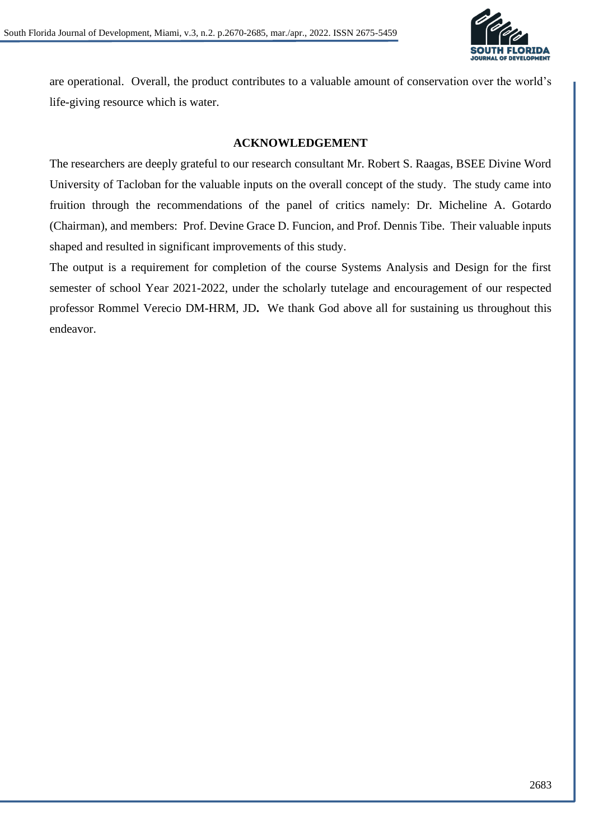

are operational. Overall, the product contributes to a valuable amount of conservation over the world's life-giving resource which is water.

### **ACKNOWLEDGEMENT**

The researchers are deeply grateful to our research consultant Mr. Robert S. Raagas, BSEE Divine Word University of Tacloban for the valuable inputs on the overall concept of the study. The study came into fruition through the recommendations of the panel of critics namely: Dr. Micheline A. Gotardo (Chairman), and members: Prof. Devine Grace D. Funcion, and Prof. Dennis Tibe. Their valuable inputs shaped and resulted in significant improvements of this study.

The output is a requirement for completion of the course Systems Analysis and Design for the first semester of school Year 2021-2022, under the scholarly tutelage and encouragement of our respected professor Rommel Verecio DM-HRM, JD**.** We thank God above all for sustaining us throughout this endeavor.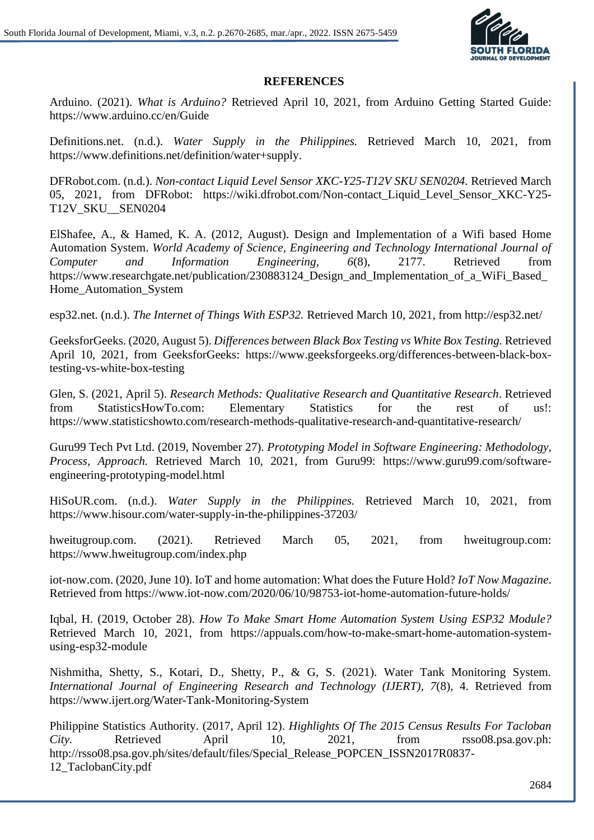

### **REFERENCES**

Arduino. (2021). *What is Arduino?* Retrieved April 10, 2021, from Arduino Getting Started Guide: https://www.arduino.cc/en/Guide

Definitions.net. (n.d.). *Water Supply in the Philippines.* Retrieved March 10, 2021, from https://www.definitions.net/definition/water+supply.

DFRobot.com. (n.d.). *Non-contact Liquid Level Sensor XKC-Y25-T12V SKU SEN0204.* Retrieved March 05, 2021, from DFRobot: https://wiki.dfrobot.com/Non-contact\_Liquid\_Level\_Sensor\_XKC-Y25- T12V\_SKU\_\_SEN0204

ElShafee, A., & Hamed, K. A. (2012, August). Design and Implementation of a Wifi based Home Automation System. *World Academy of Science, Engineering and Technology International Journal of Computer and Information Engineering, 6*(8), 2177. Retrieved from https://www.researchgate.net/publication/230883124\_Design\_and\_Implementation\_of\_a\_WiFi\_Based\_ Home\_Automation\_System

esp32.net. (n.d.). *The Internet of Things With ESP32.* Retrieved March 10, 2021, from http://esp32.net/

GeeksforGeeks. (2020, August 5). *Differences between Black Box Testing vs White Box Testing.* Retrieved April 10, 2021, from GeeksforGeeks: https://www.geeksforgeeks.org/differences-between-black-boxtesting-vs-white-box-testing

Glen, S. (2021, April 5). *Research Methods: Qualitative Research and Quantitative Research*. Retrieved from StatisticsHowTo.com: Elementary Statistics for the rest of us!: https://www.statisticshowto.com/research-methods-qualitative-research-and-quantitative-research/

Guru99 Tech Pvt Ltd. (2019, November 27). *Prototyping Model in Software Engineering: Methodology, Process, Approach.* Retrieved March 10, 2021, from Guru99: https://www.guru99.com/softwareengineering-prototyping-model.html

HiSoUR.com. (n.d.). *Water Supply in the Philippines.* Retrieved March 10, 2021, from https://www.hisour.com/water-supply-in-the-philippines-37203/

hweitugroup.com. (2021). Retrieved March 05, 2021, from hweitugroup.com: https://www.hweitugroup.com/index.php

iot-now.com. (2020, June 10). IoT and home automation: What does the Future Hold? *IoT Now Magazine*. Retrieved from https://www.iot-now.com/2020/06/10/98753-iot-home-automation-future-holds/

Iqbal, H. (2019, October 28). *How To Make Smart Home Automation System Using ESP32 Module?* Retrieved March 10, 2021, from https://appuals.com/how-to-make-smart-home-automation-systemusing-esp32-module

Nishmitha, Shetty, S., Kotari, D., Shetty, P., & G, S. (2021). Water Tank Monitoring System. *International Journal of Engineering Research and Technology (IJERT), 7*(8), 4. Retrieved from https://www.ijert.org/Water-Tank-Monitoring-System

Philippine Statistics Authority. (2017, April 12). *Highlights Of The 2015 Census Results For Tacloban City.* Retrieved April 10, 2021, from rsso08.psa.gov.ph: http://rsso08.psa.gov.ph/sites/default/files/Special\_Release\_POPCEN\_ISSN2017R0837- 12\_TaclobanCity.pdf